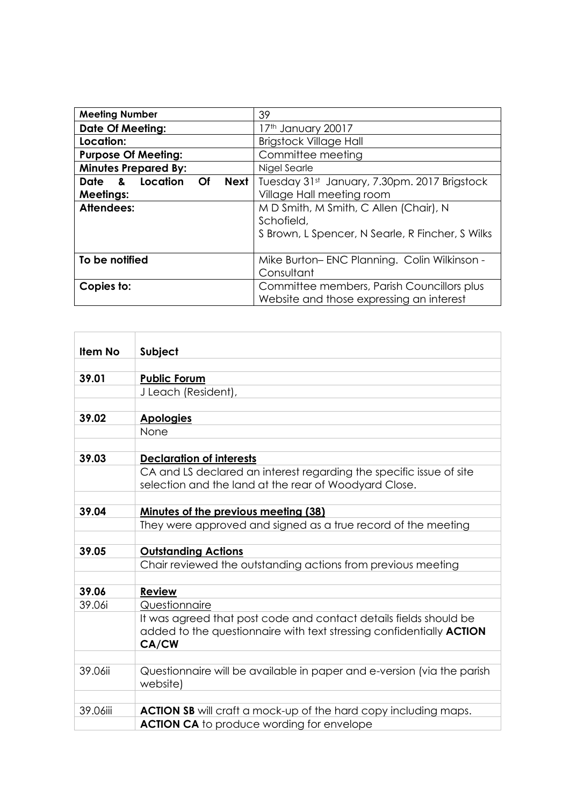| <b>Meeting Number</b>                  | 39                                               |
|----------------------------------------|--------------------------------------------------|
| <b>Date Of Meeting:</b>                | 17th January 20017                               |
| Location:                              | <b>Brigstock Village Hall</b>                    |
| <b>Purpose Of Meeting:</b>             | Committee meeting                                |
| <b>Minutes Prepared By:</b>            | Nigel Searle                                     |
| Date & Location<br><b>Next</b><br>⊝ Of | Tuesday 31st January, 7.30pm. 2017 Brigstock     |
| <b>Meetings:</b>                       | Village Hall meeting room                        |
| Attendees:                             | M D Smith, M Smith, C Allen (Chair), N           |
|                                        | Schofield,                                       |
|                                        | S Brown, L Spencer, N Searle, R Fincher, S Wilks |
|                                        |                                                  |
| To be notified                         | Mike Burton-ENC Planning. Colin Wilkinson -      |
|                                        | Consultant                                       |
| Copies to:                             | Committee members, Parish Councillors plus       |
|                                        | Website and those expressing an interest         |

| <b>Item No</b> | Subject                                                                                                                                                   |
|----------------|-----------------------------------------------------------------------------------------------------------------------------------------------------------|
|                |                                                                                                                                                           |
| 39.01          | <b>Public Forum</b>                                                                                                                                       |
|                | J Leach (Resident),                                                                                                                                       |
|                |                                                                                                                                                           |
| 39.02          | <b>Apologies</b>                                                                                                                                          |
|                | None                                                                                                                                                      |
|                |                                                                                                                                                           |
| 39.03          | <b>Declaration of interests</b>                                                                                                                           |
|                | CA and LS declared an interest regarding the specific issue of site                                                                                       |
|                | selection and the land at the rear of Woodyard Close.                                                                                                     |
|                |                                                                                                                                                           |
| 39.04          | Minutes of the previous meeting (38)                                                                                                                      |
|                | They were approved and signed as a true record of the meeting                                                                                             |
|                |                                                                                                                                                           |
| 39.05          | <b>Outstanding Actions</b>                                                                                                                                |
|                | Chair reviewed the outstanding actions from previous meeting                                                                                              |
|                |                                                                                                                                                           |
| 39.06          | <b>Review</b>                                                                                                                                             |
| 39.06i         | Questionnaire                                                                                                                                             |
|                | It was agreed that post code and contact details fields should be<br>added to the questionnaire with text stressing confidentially ACTION<br><b>CA/CW</b> |
|                |                                                                                                                                                           |
| 39.06ii        | Questionnaire will be available in paper and e-version (via the parish<br>website)                                                                        |
|                |                                                                                                                                                           |
| 39.06iii       | ACTION SB will craft a mock-up of the hard copy including maps.                                                                                           |
|                | <b>ACTION CA</b> to produce wording for envelope                                                                                                          |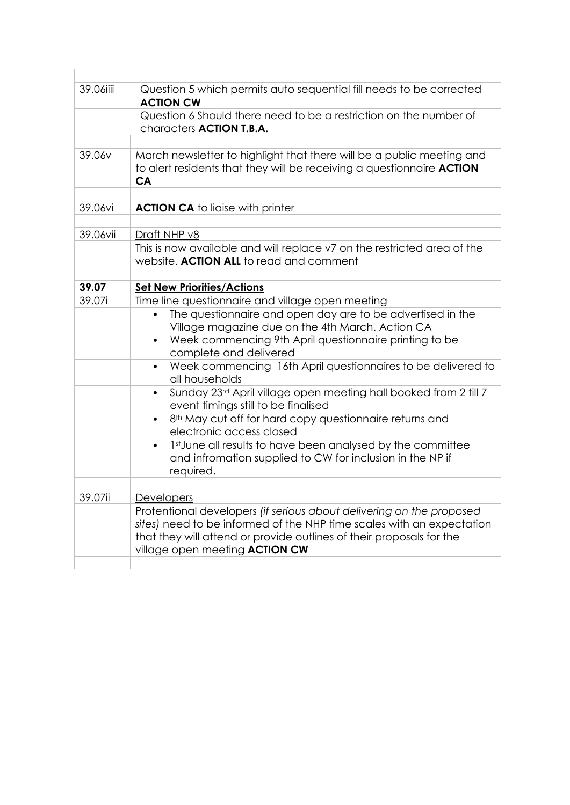| 39.06iiii | Question 5 which permits auto sequential fill needs to be corrected<br><b>ACTION CW</b>                                                                                                                                                                        |
|-----------|----------------------------------------------------------------------------------------------------------------------------------------------------------------------------------------------------------------------------------------------------------------|
|           | Question 6 Should there need to be a restriction on the number of<br>characters <b>ACTION T.B.A.</b>                                                                                                                                                           |
|           |                                                                                                                                                                                                                                                                |
| 39.06v    | March newsletter to highlight that there will be a public meeting and<br>to alert residents that they will be receiving a questionnaire <b>ACTION</b><br><b>CA</b>                                                                                             |
|           |                                                                                                                                                                                                                                                                |
| 39.06vi   | <b>ACTION CA</b> to ligise with printer                                                                                                                                                                                                                        |
|           |                                                                                                                                                                                                                                                                |
| 39.06vii  | Draft NHP v8                                                                                                                                                                                                                                                   |
|           | This is now available and will replace v7 on the restricted area of the<br>website. ACTION ALL to read and comment                                                                                                                                             |
|           |                                                                                                                                                                                                                                                                |
| 39.07     | <b>Set New Priorities/Actions</b>                                                                                                                                                                                                                              |
| 39.07i    | Time line questionnaire and village open meeting                                                                                                                                                                                                               |
|           | The questionnaire and open day are to be advertised in the<br>Village magazine due on the 4th March. Action CA<br>Week commencing 9th April questionnaire printing to be<br>$\bullet$<br>complete and delivered                                                |
|           | Week commencing 16th April questionnaires to be delivered to<br>$\bullet$<br>all households                                                                                                                                                                    |
|           | Sunday 23rd April village open meeting hall booked from 2 till 7<br>$\bullet$<br>event timings still to be finalised                                                                                                                                           |
|           | 8 <sup>th</sup> May cut off for hard copy questionnaire returns and<br>$\bullet$<br>electronic access closed                                                                                                                                                   |
|           | 1st June all results to have been analysed by the committee<br>$\bullet$<br>and infromation supplied to CW for inclusion in the NP if<br>required.                                                                                                             |
|           |                                                                                                                                                                                                                                                                |
| 39.07ii   | Developers                                                                                                                                                                                                                                                     |
|           | Protentional developers (if serious about delivering on the proposed<br>sites) need to be informed of the NHP time scales with an expectation<br>that they will attend or provide outlines of their proposals for the<br>village open meeting <b>ACTION CW</b> |
|           |                                                                                                                                                                                                                                                                |